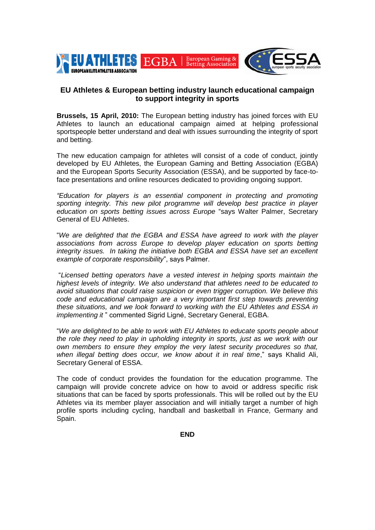

# **EU Athletes & European betting industry launch educational campaign to support integrity in sports**

**Brussels, 15 April, 2010:** The European betting industry has joined forces with EU Athletes to launch an educational campaign aimed at helping professional sportspeople better understand and deal with issues surrounding the integrity of sport and betting.

The new education campaign for athletes will consist of a code of conduct, jointly developed by EU Athletes, the European Gaming and Betting Association (EGBA) and the European Sports Security Association (ESSA), and be supported by face-toface presentations and online resources dedicated to providing ongoing support.

*"Education for players is an essential component in protecting and promoting sporting integrity. This new pilot programme will develop best practice in player education on sports betting issues across Europe* "says Walter Palmer, Secretary General of EU Athletes.

"*We are delighted that the EGBA and ESSA have agreed to work with the player associations from across Europe to develop player education on sports betting integrity issues. In taking the initiative both EGBA and ESSA have set an excellent example of corporate responsibility*", says Palmer.

"*Licensed betting operators have a vested interest in helping sports maintain the highest levels of integrity. We also understand that athletes need to be educated to avoid situations that could raise suspicion or even trigger corruption. We believe this code and educational campaign are a very important first step towards preventing these situations, and we look forward to working with the EU Athletes and ESSA in implementing it* " commented Sigrid Ligné, Secretary General, EGBA.

"*We are delighted to be able to work with EU Athletes to educate sports people about the role they need to play in upholding integrity in sports, just as we work with our own members to ensure they employ the very latest security procedures so that, when illegal betting does occur, we know about it in real time*," says Khalid Ali, Secretary General of ESSA.

The code of conduct provides the foundation for the education programme. The campaign will provide concrete advice on how to avoid or address specific risk situations that can be faced by sports professionals. This will be rolled out by the EU Athletes via its member player association and will initially target a number of high profile sports including cycling, handball and basketball in France, Germany and Spain.